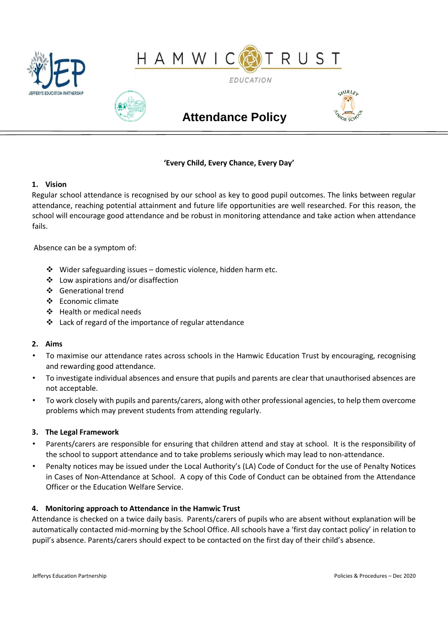



**EDUCATION** 



# **Attendance Policy**



# **'Every Child, Every Chance, Every Day'**

# **1. Vision**

Regular school attendance is recognised by our school as key to good pupil outcomes. The links between regular attendance, reaching potential attainment and future life opportunities are well researched. For this reason, the school will encourage good attendance and be robust in monitoring attendance and take action when attendance fails.

Absence can be a symptom of:

- $\cdot$  Wider safeguarding issues domestic violence, hidden harm etc.
- Low aspirations and/or disaffection
- Generational trend
- $\div$  Economic climate
- Health or medical needs
- $\cdot$  Lack of regard of the importance of regular attendance

# **2. Aims**

- To maximise our attendance rates across schools in the Hamwic Education Trust by encouraging, recognising and rewarding good attendance.
- To investigate individual absences and ensure that pupils and parents are clear that unauthorised absences are not acceptable.
- To work closely with pupils and parents/carers, along with other professional agencies, to help them overcome problems which may prevent students from attending regularly.

# **3. The Legal Framework**

- Parents/carers are responsible for ensuring that children attend and stay at school. It is the responsibility of the school to support attendance and to take problems seriously which may lead to non-attendance.
- Penalty notices may be issued under the Local Authority's (LA) Code of Conduct for the use of Penalty Notices in Cases of Non-Attendance at School. A copy of this Code of Conduct can be obtained from the Attendance Officer or the Education Welfare Service.

# **4. Monitoring approach to Attendance in the Hamwic Trust**

Attendance is checked on a twice daily basis. Parents/carers of pupils who are absent without explanation will be automatically contacted mid-morning by the School Office. All schools have a 'first day contact policy' in relation to pupil's absence. Parents/carers should expect to be contacted on the first day of their child's absence.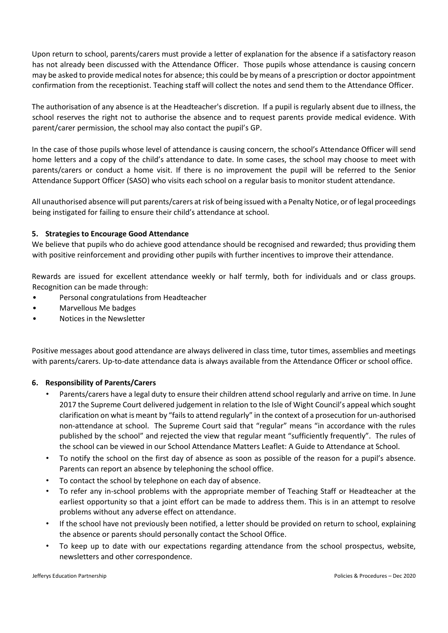Upon return to school, parents/carers must provide a letter of explanation for the absence if a satisfactory reason has not already been discussed with the Attendance Officer. Those pupils whose attendance is causing concern may be asked to provide medical notes for absence; this could be by means of a prescription or doctor appointment confirmation from the receptionist. Teaching staff will collect the notes and send them to the Attendance Officer.

The authorisation of any absence is at the Headteacher's discretion. If a pupil is regularly absent due to illness, the school reserves the right not to authorise the absence and to request parents provide medical evidence. With parent/carer permission, the school may also contact the pupil's GP.

In the case of those pupils whose level of attendance is causing concern, the school's Attendance Officer will send home letters and a copy of the child's attendance to date. In some cases, the school may choose to meet with parents/carers or conduct a home visit. If there is no improvement the pupil will be referred to the Senior Attendance Support Officer (SASO) who visits each school on a regular basis to monitor student attendance.

All unauthorised absence will put parents/carers at risk of being issued with a Penalty Notice, or of legal proceedings being instigated for failing to ensure their child's attendance at school.

# **5. Strategies to Encourage Good Attendance**

We believe that pupils who do achieve good attendance should be recognised and rewarded; thus providing them with positive reinforcement and providing other pupils with further incentives to improve their attendance.

Rewards are issued for excellent attendance weekly or half termly, both for individuals and or class groups. Recognition can be made through:

- Personal congratulations from Headteacher
- Marvellous Me badges
- Notices in the Newsletter

Positive messages about good attendance are always delivered in class time, tutor times, assemblies and meetings with parents/carers. Up-to-date attendance data is always available from the Attendance Officer or school office.

# **6. Responsibility of Parents/Carers**

- Parents/carers have a legal duty to ensure their children attend school regularly and arrive on time. In June 2017 the Supreme Court delivered judgement in relation to the Isle of Wight Council's appeal which sought clarification on what is meant by "fails to attend regularly" in the context of a prosecution for un-authorised non-attendance at school. The Supreme Court said that "regular" means "in accordance with the rules published by the school" and rejected the view that regular meant "sufficiently frequently". The rules of the school can be viewed in our School Attendance Matters Leaflet: A Guide to Attendance at School.
- To notify the school on the first day of absence as soon as possible of the reason for a pupil's absence. Parents can report an absence by telephoning the school office.
- To contact the school by telephone on each day of absence.
- To refer any in-school problems with the appropriate member of Teaching Staff or Headteacher at the earliest opportunity so that a joint effort can be made to address them. This is in an attempt to resolve problems without any adverse effect on attendance.
- If the school have not previously been notified, a letter should be provided on return to school, explaining the absence or parents should personally contact the School Office.
- To keep up to date with our expectations regarding attendance from the school prospectus, website, newsletters and other correspondence.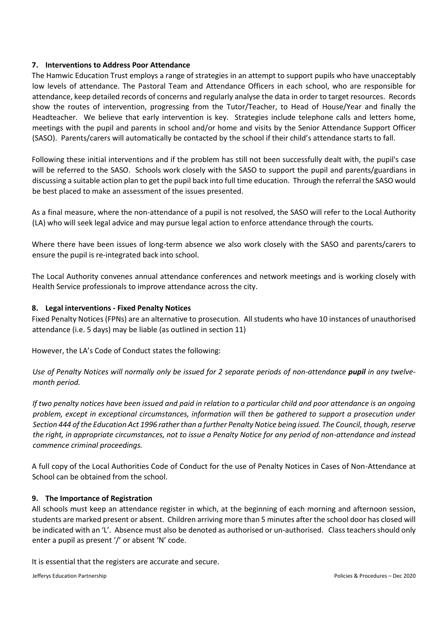# **7. Interventions to Address Poor Attendance**

The Hamwic Education Trust employs a range of strategies in an attempt to support pupils who have unacceptably low levels of attendance. The Pastoral Team and Attendance Officers in each school, who are responsible for attendance, keep detailed records of concerns and regularly analyse the data in order to target resources. Records show the routes of intervention, progressing from the Tutor/Teacher, to Head of House/Year and finally the Headteacher. We believe that early intervention is key. Strategies include telephone calls and letters home, meetings with the pupil and parents in school and/or home and visits by the Senior Attendance Support Officer (SASO). Parents/carers will automatically be contacted by the school if their child's attendance starts to fall.

Following these initial interventions and if the problem has still not been successfully dealt with, the pupil's case will be referred to the SASO. Schools work closely with the SASO to support the pupil and parents/guardians in discussing a suitable action plan to get the pupil back into full time education. Through the referral the SASO would be best placed to make an assessment of the issues presented.

As a final measure, where the non-attendance of a pupil is not resolved, the SASO will refer to the Local Authority (LA) who will seek legal advice and may pursue legal action to enforce attendance through the courts.

Where there have been issues of long-term absence we also work closely with the SASO and parents/carers to ensure the pupil is re-integrated back into school.

The Local Authority convenes annual attendance conferences and network meetings and is working closely with Health Service professionals to improve attendance across the city.

# **8. Legal interventions - Fixed Penalty Notices**

Fixed Penalty Notices (FPNs) are an alternative to prosecution. All students who have 10 instances of unauthorised attendance (i.e. 5 days) may be liable (as outlined in section 11)

However, the LA's Code of Conduct states the following:

Use of Penalty Notices will normally only be issued for 2 separate periods of non-attendance **pupil** in any twelve*month period.*

*If two penalty notices have been issued and paid in relation to a particular child and poor attendance is an ongoing problem, except in exceptional circumstances, information will then be gathered to support a prosecution under Section 444 of the Education Act 1996 rather than a further Penalty Notice being issued. The Council, though, reserve the right, in appropriate circumstances, not to issue a Penalty Notice for any period of non-attendance and instead commence criminal proceedings.*

A full copy of the Local Authorities Code of Conduct for the use of Penalty Notices in Cases of Non-Attendance at School can be obtained from the school.

# **9. The Importance of Registration**

All schools must keep an attendance register in which, at the beginning of each morning and afternoon session, students are marked present or absent. Children arriving more than 5 minutes after the school door has closed will be indicated with an 'L'. Absence must also be denoted as authorised or un-authorised. Class teachers should only enter a pupil as present '/' or absent 'N' code.

It is essential that the registers are accurate and secure.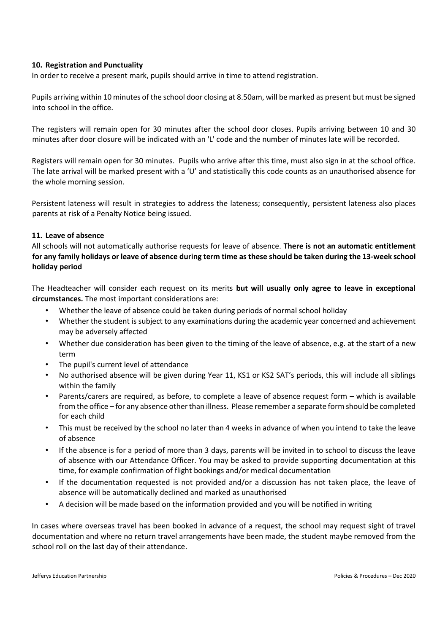# **10. Registration and Punctuality**

In order to receive a present mark, pupils should arrive in time to attend registration.

Pupils arriving within 10 minutes of the school door closing at 8.50am, will be marked as present but must be signed into school in the office.

The registers will remain open for 30 minutes after the school door closes. Pupils arriving between 10 and 30 minutes after door closure will be indicated with an 'L' code and the number of minutes late will be recorded.

Registers will remain open for 30 minutes. Pupils who arrive after this time, must also sign in at the school office. The late arrival will be marked present with a 'U' and statistically this code counts as an unauthorised absence for the whole morning session.

Persistent lateness will result in strategies to address the lateness; consequently, persistent lateness also places parents at risk of a Penalty Notice being issued.

#### **11. Leave of absence**

All schools will not automatically authorise requests for leave of absence. **There is not an automatic entitlement for any family holidays or leave of absence during term time as these should be taken during the 13-week school holiday period**

The Headteacher will consider each request on its merits **but will usually only agree to leave in exceptional circumstances.** The most important considerations are:

- Whether the leave of absence could be taken during periods of normal school holiday
- Whether the student is subject to any examinations during the academic year concerned and achievement may be adversely affected
- Whether due consideration has been given to the timing of the leave of absence, e.g. at the start of a new term
- The pupil's current level of attendance
- No authorised absence will be given during Year 11, KS1 or KS2 SAT's periods, this will include all siblings within the family
- Parents/carers are required, as before, to complete a leave of absence request form which is available from the office – for any absence other than illness. Please remember a separate form should be completed for each child
- This must be received by the school no later than 4 weeks in advance of when you intend to take the leave of absence
- If the absence is for a period of more than 3 days, parents will be invited in to school to discuss the leave of absence with our Attendance Officer. You may be asked to provide supporting documentation at this time, for example confirmation of flight bookings and/or medical documentation
- If the documentation requested is not provided and/or a discussion has not taken place, the leave of absence will be automatically declined and marked as unauthorised
- A decision will be made based on the information provided and you will be notified in writing

In cases where overseas travel has been booked in advance of a request, the school may request sight of travel documentation and where no return travel arrangements have been made, the student maybe removed from the school roll on the last day of their attendance.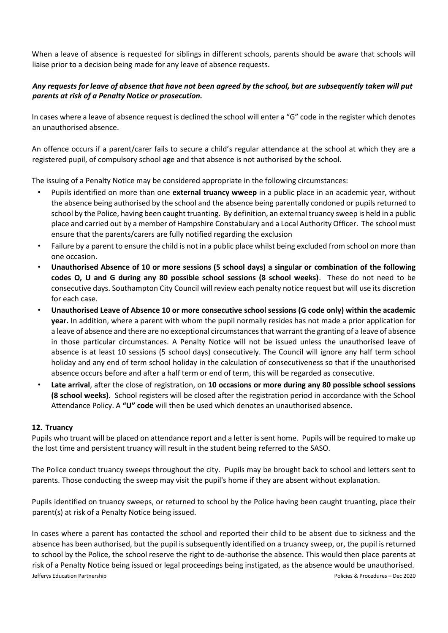When a leave of absence is requested for siblings in different schools, parents should be aware that schools will liaise prior to a decision being made for any leave of absence requests.

# *Any requests for leave of absence that have not been agreed by the school, but are subsequently taken will put parents at risk of a Penalty Notice or prosecution.*

In cases where a leave of absence request is declined the school will enter a "G" code in the register which denotes an unauthorised absence.

An offence occurs if a parent/carer fails to secure a child's regular attendance at the school at which they are a registered pupil, of compulsory school age and that absence is not authorised by the school.

The issuing of a Penalty Notice may be considered appropriate in the following circumstances:

- Pupils identified on more than one **external truancy wweep** in a public place in an academic year, without the absence being authorised by the school and the absence being parentally condoned or pupils returned to school by the Police, having been caught truanting. By definition, an external truancy sweep is held in a public place and carried out by a member of Hampshire Constabulary and a Local Authority Officer. The school must ensure that the parents/carers are fully notified regarding the exclusion
- Failure by a parent to ensure the child is not in a public place whilst being excluded from school on more than one occasion.
- **Unauthorised Absence of 10 or more sessions (5 school days) a singular or combination of the following codes O, U and G during any 80 possible school sessions (8 school weeks)**. These do not need to be consecutive days. Southampton City Council will review each penalty notice request but will use its discretion for each case.
- **Unauthorised Leave of Absence 10 or more consecutive school sessions (G code only) within the academic year.** In addition, where a parent with whom the pupil normally resides has not made a prior application for a leave of absence and there are no exceptional circumstances that warrant the granting of a leave of absence in those particular circumstances. A Penalty Notice will not be issued unless the unauthorised leave of absence is at least 10 sessions (5 school days) consecutively. The Council will ignore any half term school holiday and any end of term school holiday in the calculation of consecutiveness so that if the unauthorised absence occurs before and after a half term or end of term, this will be regarded as consecutive.
- **Late arrival**, after the close of registration, on **10 occasions or more during any 80 possible school sessions (8 school weeks)**. School registers will be closed after the registration period in accordance with the School Attendance Policy. A **"U" code** will then be used which denotes an unauthorised absence.

# **12. Truancy**

Pupils who truant will be placed on attendance report and a letter is sent home. Pupils will be required to make up the lost time and persistent truancy will result in the student being referred to the SASO.

The Police conduct truancy sweeps throughout the city. Pupils may be brought back to school and letters sent to parents. Those conducting the sweep may visit the pupil's home if they are absent without explanation.

Pupils identified on truancy sweeps, or returned to school by the Police having been caught truanting, place their parent(s) at risk of a Penalty Notice being issued.

Jefferys Education Partnership Policies & Procedures – Dec 2020 In cases where a parent has contacted the school and reported their child to be absent due to sickness and the absence has been authorised, but the pupil is subsequently identified on a truancy sweep, or, the pupil is returned to school by the Police, the school reserve the right to de-authorise the absence. This would then place parents at risk of a Penalty Notice being issued or legal proceedings being instigated, as the absence would be unauthorised.